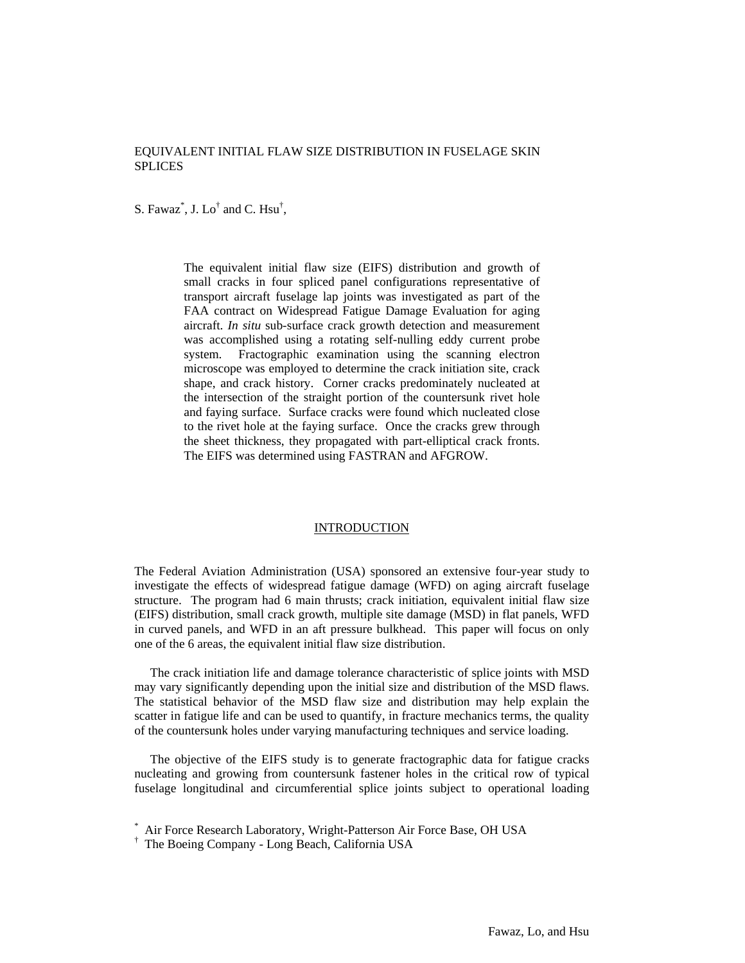# EQUIVALENT INITIAL FLAW SIZE DISTRIBUTION IN FUSELAGE SKIN SPLICES

S. Fawaz<sup>\*</sup>, J. Lo<sup>†</sup> and C. Hsu<sup>†</sup>,

The equivalent initial flaw size (EIFS) distribution and growth of small cracks in four spliced panel configurations representative of transport aircraft fuselage lap joints was investigated as part of the FAA contract on Widespread Fatigue Damage Evaluation for aging aircraft. *In situ* sub-surface crack growth detection and measurement was accomplished using a rotating self-nulling eddy current probe system. Fractographic examination using the scanning electron microscope was employed to determine the crack initiation site, crack shape, and crack history. Corner cracks predominately nucleated at the intersection of the straight portion of the countersunk rivet hole and faying surface. Surface cracks were found which nucleated close to the rivet hole at the faying surface. Once the cracks grew through the sheet thickness, they propagated with part-elliptical crack fronts. The EIFS was determined using FASTRAN and AFGROW.

### **INTRODUCTION**

The Federal Aviation Administration (USA) sponsored an extensive four-year study to investigate the effects of widespread fatigue damage (WFD) on aging aircraft fuselage structure. The program had 6 main thrusts; crack initiation, equivalent initial flaw size (EIFS) distribution, small crack growth, multiple site damage (MSD) in flat panels, WFD in curved panels, and WFD in an aft pressure bulkhead. This paper will focus on only one of the 6 areas, the equivalent initial flaw size distribution.

 The crack initiation life and damage tolerance characteristic of splice joints with MSD may vary significantly depending upon the initial size and distribution of the MSD flaws. The statistical behavior of the MSD flaw size and distribution may help explain the scatter in fatigue life and can be used to quantify, in fracture mechanics terms, the quality of the countersunk holes under varying manufacturing techniques and service loading.

 The objective of the EIFS study is to generate fractographic data for fatigue cracks nucleating and growing from countersunk fastener holes in the critical row of typical fuselage longitudinal and circumferential splice joints subject to operational loading

<sup>\*</sup> Air Force Research Laboratory, Wright-Patterson Air Force Base, OH USA

<sup>†</sup> The Boeing Company - Long Beach, California USA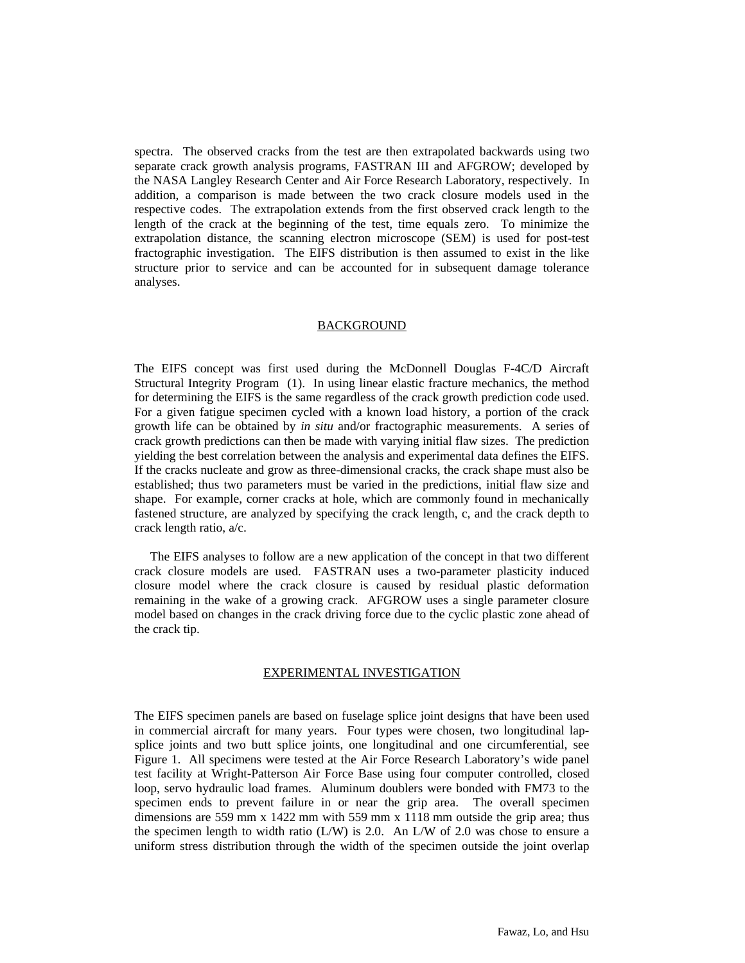spectra. The observed cracks from the test are then extrapolated backwards using two separate crack growth analysis programs, FASTRAN III and AFGROW; developed by the NASA Langley Research Center and Air Force Research Laboratory, respectively. In addition, a comparison is made between the two crack closure models used in the respective codes. The extrapolation extends from the first observed crack length to the length of the crack at the beginning of the test, time equals zero. To minimize the extrapolation distance, the scanning electron microscope (SEM) is used for post-test fractographic investigation. The EIFS distribution is then assumed to exist in the like structure prior to service and can be accounted for in subsequent damage tolerance analyses.

### **BACKGROUND**

The EIFS concept was first used during the McDonnell Douglas F-4C/D Aircraft Structural Integrity Program (1). In using linear elastic fracture mechanics, the method for determining the EIFS is the same regardless of the crack growth prediction code used. For a given fatigue specimen cycled with a known load history, a portion of the crack growth life can be obtained by *in situ* and/or fractographic measurements. A series of crack growth predictions can then be made with varying initial flaw sizes. The prediction yielding the best correlation between the analysis and experimental data defines the EIFS. If the cracks nucleate and grow as three-dimensional cracks, the crack shape must also be established; thus two parameters must be varied in the predictions, initial flaw size and shape. For example, corner cracks at hole, which are commonly found in mechanically fastened structure, are analyzed by specifying the crack length, c, and the crack depth to crack length ratio, a/c.

 The EIFS analyses to follow are a new application of the concept in that two different crack closure models are used. FASTRAN uses a two-parameter plasticity induced closure model where the crack closure is caused by residual plastic deformation remaining in the wake of a growing crack. AFGROW uses a single parameter closure model based on changes in the crack driving force due to the cyclic plastic zone ahead of the crack tip.

### EXPERIMENTAL INVESTIGATION

The EIFS specimen panels are based on fuselage splice joint designs that have been used in commercial aircraft for many years. Four types were chosen, two longitudinal lapsplice joints and two butt splice joints, one longitudinal and one circumferential, see Figure 1. All specimens were tested at the Air Force Research Laboratory's wide panel test facility at Wright-Patterson Air Force Base using four computer controlled, closed loop, servo hydraulic load frames. Aluminum doublers were bonded with FM73 to the specimen ends to prevent failure in or near the grip area. The overall specimen dimensions are 559 mm x 1422 mm with 559 mm x 1118 mm outside the grip area; thus the specimen length to width ratio ( $L/W$ ) is 2.0. An  $L/W$  of 2.0 was chose to ensure a uniform stress distribution through the width of the specimen outside the joint overlap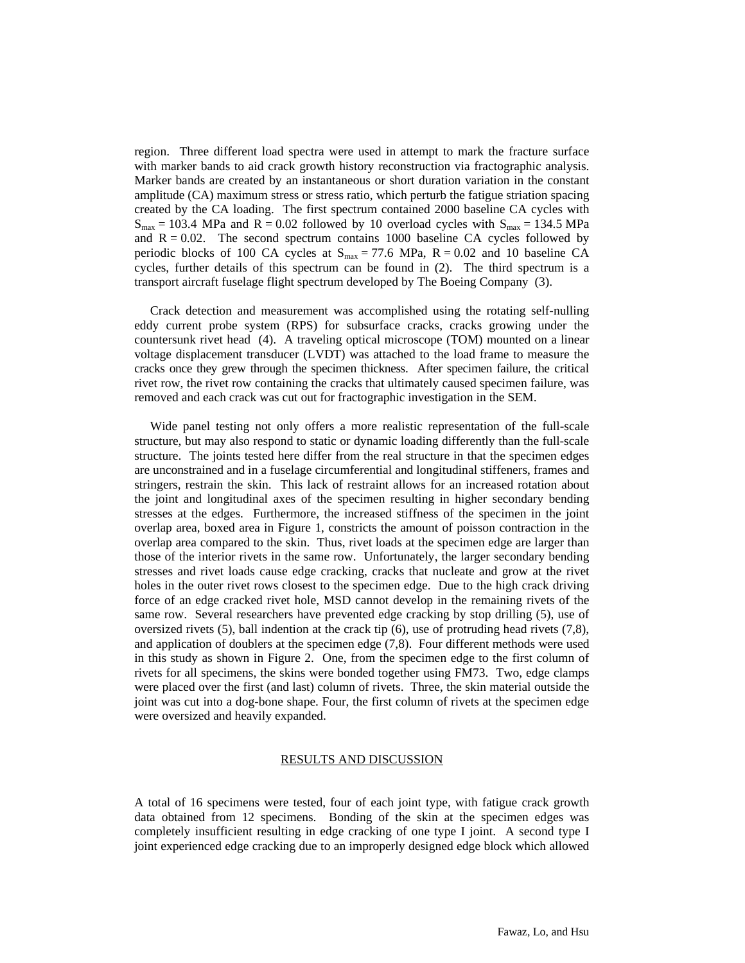region. Three different load spectra were used in attempt to mark the fracture surface with marker bands to aid crack growth history reconstruction via fractographic analysis. Marker bands are created by an instantaneous or short duration variation in the constant amplitude (CA) maximum stress or stress ratio, which perturb the fatigue striation spacing created by the CA loading. The first spectrum contained 2000 baseline CA cycles with  $S_{\text{max}} = 103.4$  MPa and R = 0.02 followed by 10 overload cycles with  $S_{\text{max}} = 134.5$  MPa and  $R = 0.02$ . The second spectrum contains 1000 baseline CA cycles followed by periodic blocks of 100 CA cycles at  $S_{\text{max}} = 77.6 \text{ MPa}$ ,  $R = 0.02 \text{ and } 10 \text{ baseline CA}$ cycles, further details of this spectrum can be found in (2). The third spectrum is a transport aircraft fuselage flight spectrum developed by The Boeing Company (3).

 Crack detection and measurement was accomplished using the rotating self-nulling eddy current probe system (RPS) for subsurface cracks, cracks growing under the countersunk rivet head (4). A traveling optical microscope (TOM) mounted on a linear voltage displacement transducer (LVDT) was attached to the load frame to measure the cracks once they grew through the specimen thickness. After specimen failure, the critical rivet row, the rivet row containing the cracks that ultimately caused specimen failure, was removed and each crack was cut out for fractographic investigation in the SEM.

 Wide panel testing not only offers a more realistic representation of the full-scale structure, but may also respond to static or dynamic loading differently than the full-scale structure. The joints tested here differ from the real structure in that the specimen edges are unconstrained and in a fuselage circumferential and longitudinal stiffeners, frames and stringers, restrain the skin. This lack of restraint allows for an increased rotation about the joint and longitudinal axes of the specimen resulting in higher secondary bending stresses at the edges. Furthermore, the increased stiffness of the specimen in the joint overlap area, boxed area in Figure 1, constricts the amount of poisson contraction in the overlap area compared to the skin. Thus, rivet loads at the specimen edge are larger than those of the interior rivets in the same row. Unfortunately, the larger secondary bending stresses and rivet loads cause edge cracking, cracks that nucleate and grow at the rivet holes in the outer rivet rows closest to the specimen edge. Due to the high crack driving force of an edge cracked rivet hole, MSD cannot develop in the remaining rivets of the same row. Several researchers have prevented edge cracking by stop drilling (5), use of oversized rivets (5), ball indention at the crack tip (6), use of protruding head rivets (7,8), and application of doublers at the specimen edge (7,8). Four different methods were used in this study as shown in Figure 2. One, from the specimen edge to the first column of rivets for all specimens, the skins were bonded together using FM73. Two, edge clamps were placed over the first (and last) column of rivets. Three, the skin material outside the joint was cut into a dog-bone shape. Four, the first column of rivets at the specimen edge were oversized and heavily expanded.

### RESULTS AND DISCUSSION

A total of 16 specimens were tested, four of each joint type, with fatigue crack growth data obtained from 12 specimens. Bonding of the skin at the specimen edges was completely insufficient resulting in edge cracking of one type I joint. A second type I joint experienced edge cracking due to an improperly designed edge block which allowed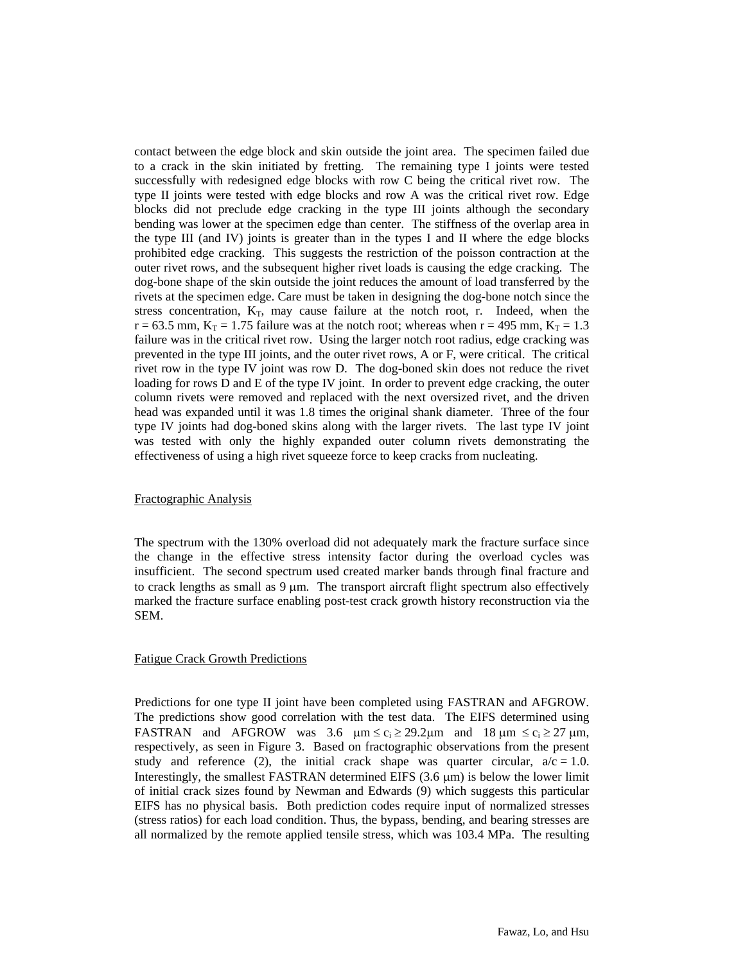contact between the edge block and skin outside the joint area. The specimen failed due to a crack in the skin initiated by fretting. The remaining type I joints were tested successfully with redesigned edge blocks with row C being the critical rivet row. The type II joints were tested with edge blocks and row A was the critical rivet row. Edge blocks did not preclude edge cracking in the type III joints although the secondary bending was lower at the specimen edge than center. The stiffness of the overlap area in the type III (and IV) joints is greater than in the types I and II where the edge blocks prohibited edge cracking. This suggests the restriction of the poisson contraction at the outer rivet rows, and the subsequent higher rivet loads is causing the edge cracking. The dog-bone shape of the skin outside the joint reduces the amount of load transferred by the rivets at the specimen edge. Care must be taken in designing the dog-bone notch since the stress concentration,  $K_T$ , may cause failure at the notch root, r. Indeed, when the  $r = 63.5$  mm,  $K_T = 1.75$  failure was at the notch root; whereas when  $r = 495$  mm,  $K_T = 1.3$ failure was in the critical rivet row. Using the larger notch root radius, edge cracking was prevented in the type III joints, and the outer rivet rows, A or F, were critical. The critical rivet row in the type IV joint was row D. The dog-boned skin does not reduce the rivet loading for rows D and E of the type IV joint. In order to prevent edge cracking, the outer column rivets were removed and replaced with the next oversized rivet, and the driven head was expanded until it was 1.8 times the original shank diameter. Three of the four type IV joints had dog-boned skins along with the larger rivets. The last type IV joint was tested with only the highly expanded outer column rivets demonstrating the effectiveness of using a high rivet squeeze force to keep cracks from nucleating.

## Fractographic Analysis

The spectrum with the 130% overload did not adequately mark the fracture surface since the change in the effective stress intensity factor during the overload cycles was insufficient. The second spectrum used created marker bands through final fracture and to crack lengths as small as  $9 \mu m$ . The transport aircraft flight spectrum also effectively marked the fracture surface enabling post-test crack growth history reconstruction via the SEM.

## Fatigue Crack Growth Predictions

Predictions for one type II joint have been completed using FASTRAN and AFGROW. The predictions show good correlation with the test data. The EIFS determined using FASTRAN and AFGROW was 3.6  $\mu$ m  $\leq c_i \geq 29.2 \mu$ m and 18  $\mu$ m  $\leq c_i \geq 27 \mu$ m, respectively, as seen in Figure 3. Based on fractographic observations from the present study and reference (2), the initial crack shape was quarter circular,  $a/c = 1.0$ . Interestingly, the smallest FASTRAN determined EIFS (3.6 μm) is below the lower limit of initial crack sizes found by Newman and Edwards (9) which suggests this particular EIFS has no physical basis. Both prediction codes require input of normalized stresses (stress ratios) for each load condition. Thus, the bypass, bending, and bearing stresses are all normalized by the remote applied tensile stress, which was 103.4 MPa. The resulting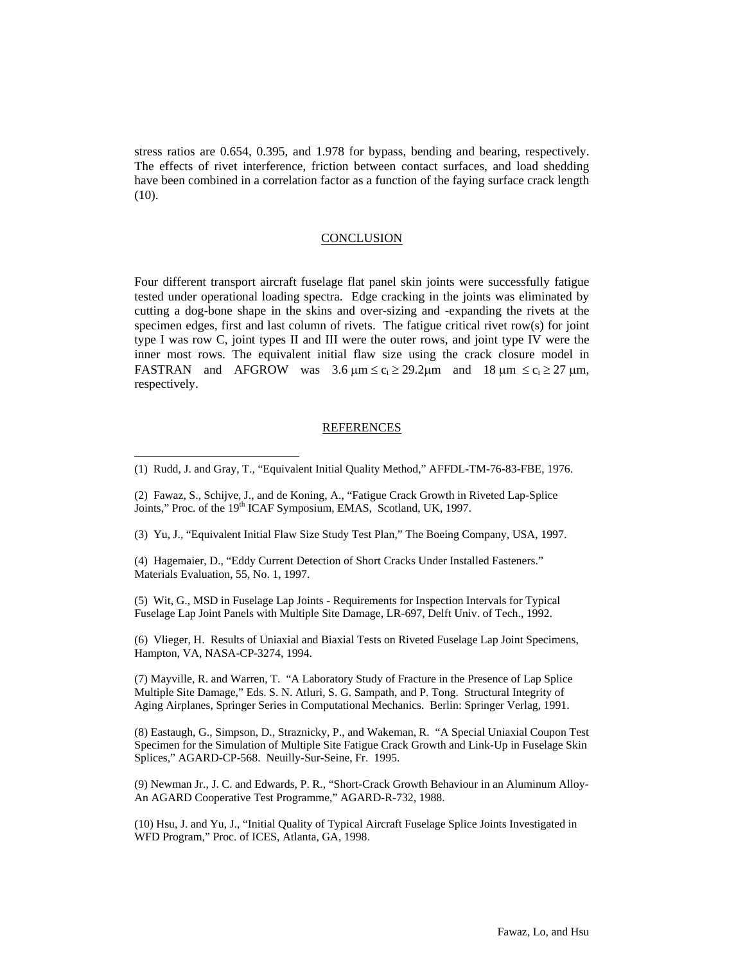stress ratios are 0.654, 0.395, and 1.978 for bypass, bending and bearing, respectively. The effects of rivet interference, friction between contact surfaces, and load shedding have been combined in a correlation factor as a function of the faying surface crack length (10).

#### **CONCLUSION**

Four different transport aircraft fuselage flat panel skin joints were successfully fatigue tested under operational loading spectra. Edge cracking in the joints was eliminated by cutting a dog-bone shape in the skins and over-sizing and -expanding the rivets at the specimen edges, first and last column of rivets. The fatigue critical rivet row(s) for joint type I was row C, joint types II and III were the outer rows, and joint type IV were the inner most rows. The equivalent initial flaw size using the crack closure model in FASTRAN and AFGROW was  $3.6 \mu m \le c_i \ge 29.2 \mu m$  and  $18 \mu m \le c_i \ge 27 \mu m$ , respectively.

## **REFERENCES**

 $\overline{a}$ 

(3) Yu, J., "Equivalent Initial Flaw Size Study Test Plan," The Boeing Company, USA, 1997.

(4) Hagemaier, D., "Eddy Current Detection of Short Cracks Under Installed Fasteners." Materials Evaluation, 55, No. 1, 1997.

(5) Wit, G., MSD in Fuselage Lap Joints - Requirements for Inspection Intervals for Typical Fuselage Lap Joint Panels with Multiple Site Damage, LR-697, Delft Univ. of Tech., 1992.

(6) Vlieger, H. Results of Uniaxial and Biaxial Tests on Riveted Fuselage Lap Joint Specimens, Hampton, VA, NASA-CP-3274, 1994.

(7) Mayville, R. and Warren, T. "A Laboratory Study of Fracture in the Presence of Lap Splice Multiple Site Damage," Eds. S. N. Atluri, S. G. Sampath, and P. Tong. Structural Integrity of Aging Airplanes, Springer Series in Computational Mechanics. Berlin: Springer Verlag, 1991.

(8) Eastaugh, G., Simpson, D., Straznicky, P., and Wakeman, R. "A Special Uniaxial Coupon Test Specimen for the Simulation of Multiple Site Fatigue Crack Growth and Link-Up in Fuselage Skin Splices," AGARD-CP-568. Neuilly-Sur-Seine, Fr. 1995.

(9) Newman Jr., J. C. and Edwards, P. R., "Short-Crack Growth Behaviour in an Aluminum Alloy-An AGARD Cooperative Test Programme," AGARD-R-732, 1988.

(10) Hsu, J. and Yu, J., "Initial Quality of Typical Aircraft Fuselage Splice Joints Investigated in WFD Program," Proc. of ICES, Atlanta, GA, 1998.

<sup>(1)</sup> Rudd, J. and Gray, T., "Equivalent Initial Quality Method," AFFDL-TM-76-83-FBE, 1976.

<sup>(2)</sup> Fawaz, S., Schijve, J., and de Koning, A., "Fatigue Crack Growth in Riveted Lap-Splice Joints," Proc. of the 19<sup>th</sup> ICAF Symposium, EMAS, Scotland, UK, 1997.